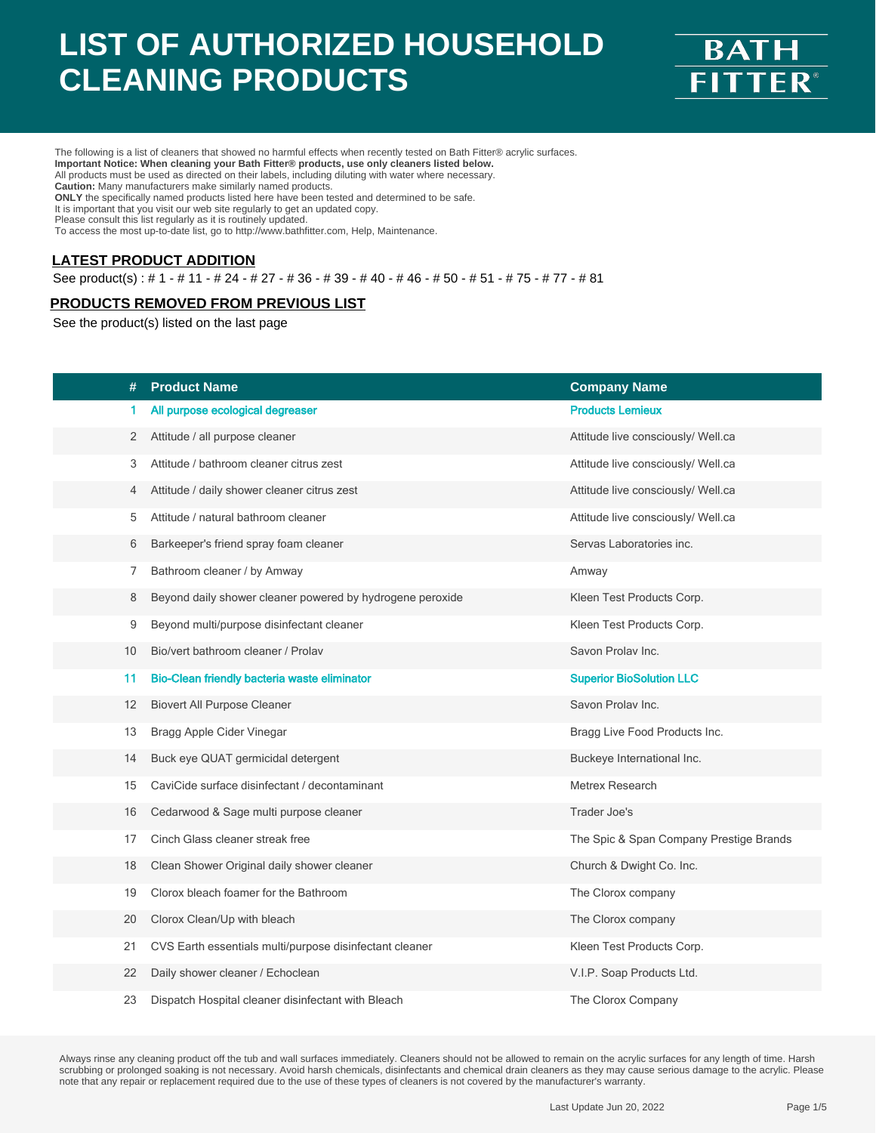

The following is a list of cleaners that showed no harmful effects when recently tested on Bath Fitter® acrylic surfaces. **Important Notice: When cleaning your Bath Fitter® products, use only cleaners listed below.** All products must be used as directed on their labels, including diluting with water where necessary. **Caution:** Many manufacturers make similarly named products. **ONLY** the specifically named products listed here have been tested and determined to be safe. It is important that you visit our web site regularly to get an updated copy. Please consult this list regularly as it is routinely updated.

To access the most up-to-date list, go to http://www.bathfitter.com, Help, Maintenance.

#### **LATEST PRODUCT ADDITION**

See product(s) : # 1 - # 11 - # 24 - # 27 - # 36 - # 39 - # 40 - # 46 - # 50 - # 51 - # 75 - # 77 - # 81

#### **PRODUCTS REMOVED FROM PREVIOUS LIST**

See the product(s) listed on the last page

| #  | <b>Product Name</b>                                       | <b>Company Name</b>                     |
|----|-----------------------------------------------------------|-----------------------------------------|
| 1  | All purpose ecological degreaser                          | <b>Products Lemieux</b>                 |
| 2  | Attitude / all purpose cleaner                            | Attitude live consciously/ Well.ca      |
| 3  | Attitude / bathroom cleaner citrus zest                   | Attitude live consciously/ Well.ca      |
| 4  | Attitude / daily shower cleaner citrus zest               | Attitude live consciously/ Well.ca      |
| 5  | Attitude / natural bathroom cleaner                       | Attitude live consciously/ Well.ca      |
| 6  | Barkeeper's friend spray foam cleaner                     | Servas Laboratories inc.                |
| 7  | Bathroom cleaner / by Amway                               | Amway                                   |
| 8  | Beyond daily shower cleaner powered by hydrogene peroxide | Kleen Test Products Corp.               |
| 9  | Beyond multi/purpose disinfectant cleaner                 | Kleen Test Products Corp.               |
| 10 | Bio/vert bathroom cleaner / Prolav                        | Savon Prolav Inc.                       |
| 11 | Bio-Clean friendly bacteria waste eliminator              | <b>Superior BioSolution LLC</b>         |
| 12 | <b>Biovert All Purpose Cleaner</b>                        | Savon Prolav Inc.                       |
| 13 | Bragg Apple Cider Vinegar                                 | Bragg Live Food Products Inc.           |
| 14 | Buck eye QUAT germicidal detergent                        | Buckeye International Inc.              |
| 15 | CaviCide surface disinfectant / decontaminant             | Metrex Research                         |
| 16 | Cedarwood & Sage multi purpose cleaner                    | Trader Joe's                            |
| 17 | Cinch Glass cleaner streak free                           | The Spic & Span Company Prestige Brands |
| 18 | Clean Shower Original daily shower cleaner                | Church & Dwight Co. Inc.                |
| 19 | Clorox bleach foamer for the Bathroom                     | The Clorox company                      |
| 20 | Clorox Clean/Up with bleach                               | The Clorox company                      |
| 21 | CVS Earth essentials multi/purpose disinfectant cleaner   | Kleen Test Products Corp.               |
| 22 | Daily shower cleaner / Echoclean                          | V.I.P. Soap Products Ltd.               |
| 23 | Dispatch Hospital cleaner disinfectant with Bleach        | The Clorox Company                      |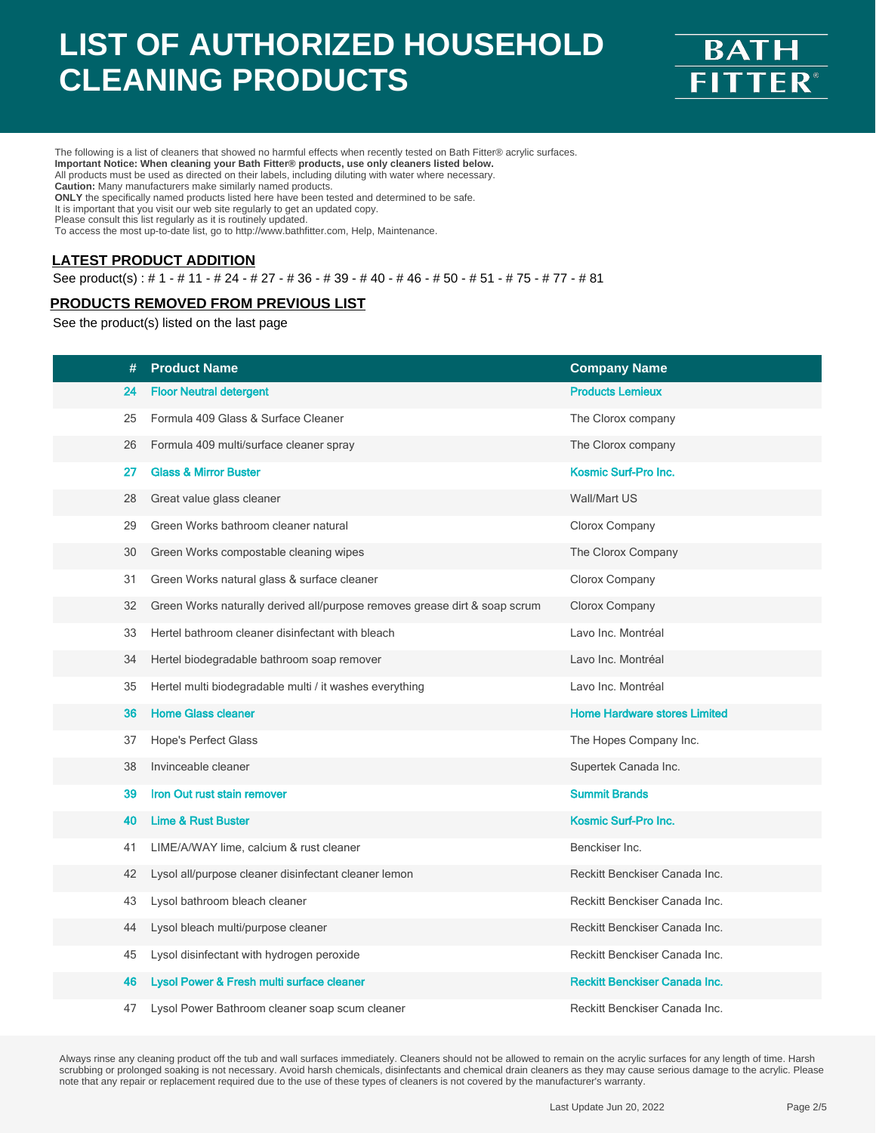

The following is a list of cleaners that showed no harmful effects when recently tested on Bath Fitter® acrylic surfaces. **Important Notice: When cleaning your Bath Fitter® products, use only cleaners listed below.** All products must be used as directed on their labels, including diluting with water where necessary. **Caution:** Many manufacturers make similarly named products. **ONLY** the specifically named products listed here have been tested and determined to be safe. It is important that you visit our web site regularly to get an updated copy. Please consult this list regularly as it is routinely updated.

To access the most up-to-date list, go to http://www.bathfitter.com, Help, Maintenance.

#### **LATEST PRODUCT ADDITION**

See product(s) : # 1 - # 11 - # 24 - # 27 - # 36 - # 39 - # 40 - # 46 - # 50 - # 51 - # 75 - # 77 - # 81

#### **PRODUCTS REMOVED FROM PREVIOUS LIST**

See the product(s) listed on the last page

| #  | <b>Product Name</b>                                                        | <b>Company Name</b>                  |
|----|----------------------------------------------------------------------------|--------------------------------------|
| 24 | <b>Floor Neutral detergent</b>                                             | <b>Products Lemieux</b>              |
| 25 | Formula 409 Glass & Surface Cleaner                                        | The Clorox company                   |
| 26 | Formula 409 multi/surface cleaner spray                                    | The Clorox company                   |
| 27 | <b>Glass &amp; Mirror Buster</b>                                           | Kosmic Surf-Pro Inc.                 |
| 28 | Great value glass cleaner                                                  | Wall/Mart US                         |
| 29 | Green Works bathroom cleaner natural                                       | Clorox Company                       |
| 30 | Green Works compostable cleaning wipes                                     | The Clorox Company                   |
| 31 | Green Works natural glass & surface cleaner                                | Clorox Company                       |
| 32 | Green Works naturally derived all/purpose removes grease dirt & soap scrum | Clorox Company                       |
| 33 | Hertel bathroom cleaner disinfectant with bleach                           | Lavo Inc. Montréal                   |
| 34 | Hertel biodegradable bathroom soap remover                                 | Lavo Inc. Montréal                   |
| 35 | Hertel multi biodegradable multi / it washes everything                    | Lavo Inc. Montréal                   |
| 36 | <b>Home Glass cleaner</b>                                                  | <b>Home Hardware stores Limited</b>  |
| 37 | Hope's Perfect Glass                                                       | The Hopes Company Inc.               |
| 38 | Invinceable cleaner                                                        | Supertek Canada Inc.                 |
| 39 | Iron Out rust stain remover                                                | <b>Summit Brands</b>                 |
| 40 | <b>Lime &amp; Rust Buster</b>                                              | <b>Kosmic Surf-Pro Inc.</b>          |
| 41 | LIME/A/WAY lime, calcium & rust cleaner                                    | Benckiser Inc.                       |
| 42 | Lysol all/purpose cleaner disinfectant cleaner lemon                       | Reckitt Benckiser Canada Inc.        |
| 43 | Lysol bathroom bleach cleaner                                              | Reckitt Benckiser Canada Inc.        |
| 44 | Lysol bleach multi/purpose cleaner                                         | Reckitt Benckiser Canada Inc.        |
| 45 | Lysol disinfectant with hydrogen peroxide                                  | Reckitt Benckiser Canada Inc.        |
| 46 | Lysol Power & Fresh multi surface cleaner                                  | <b>Reckitt Benckiser Canada Inc.</b> |
| 47 | Lysol Power Bathroom cleaner soap scum cleaner                             | Reckitt Benckiser Canada Inc.        |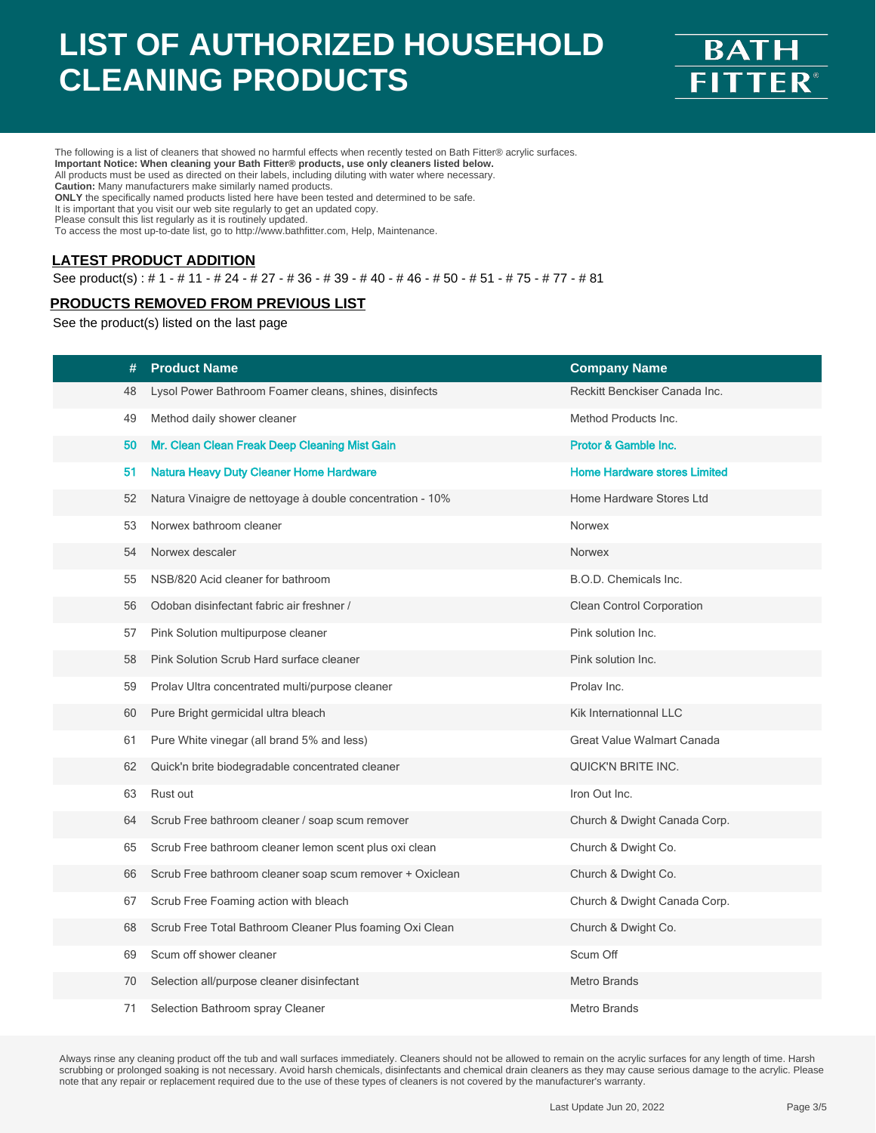

The following is a list of cleaners that showed no harmful effects when recently tested on Bath Fitter® acrylic surfaces. **Important Notice: When cleaning your Bath Fitter® products, use only cleaners listed below.** All products must be used as directed on their labels, including diluting with water where necessary. **Caution:** Many manufacturers make similarly named products. **ONLY** the specifically named products listed here have been tested and determined to be safe. It is important that you visit our web site regularly to get an updated copy. Please consult this list regularly as it is routinely updated.

To access the most up-to-date list, go to http://www.bathfitter.com, Help, Maintenance.

#### **LATEST PRODUCT ADDITION**

See product(s) : # 1 - # 11 - # 24 - # 27 - # 36 - # 39 - # 40 - # 46 - # 50 - # 51 - # 75 - # 77 - # 81

#### **PRODUCTS REMOVED FROM PREVIOUS LIST**

See the product(s) listed on the last page

| #  | <b>Product Name</b>                                       | <b>Company Name</b>                 |
|----|-----------------------------------------------------------|-------------------------------------|
| 48 | Lysol Power Bathroom Foamer cleans, shines, disinfects    | Reckitt Benckiser Canada Inc.       |
| 49 | Method daily shower cleaner                               | Method Products Inc.                |
| 50 | Mr. Clean Clean Freak Deep Cleaning Mist Gain             | <b>Protor &amp; Gamble Inc.</b>     |
| 51 | <b>Natura Heavy Duty Cleaner Home Hardware</b>            | <b>Home Hardware stores Limited</b> |
| 52 | Natura Vinaigre de nettoyage à double concentration - 10% | Home Hardware Stores Ltd            |
| 53 | Norwex bathroom cleaner                                   | Norwex                              |
| 54 | Norwex descaler                                           | Norwex                              |
| 55 | NSB/820 Acid cleaner for bathroom                         | B.O.D. Chemicals Inc.               |
| 56 | Odoban disinfectant fabric air freshner /                 | Clean Control Corporation           |
| 57 | Pink Solution multipurpose cleaner                        | Pink solution Inc.                  |
| 58 | Pink Solution Scrub Hard surface cleaner                  | Pink solution Inc.                  |
| 59 | Prolav Ultra concentrated multi/purpose cleaner           | Prolav Inc.                         |
| 60 | Pure Bright germicidal ultra bleach                       | Kik Internationnal LLC              |
| 61 | Pure White vinegar (all brand 5% and less)                | Great Value Walmart Canada          |
| 62 | Quick'n brite biodegradable concentrated cleaner          | <b>QUICK'N BRITE INC.</b>           |
| 63 | Rust out                                                  | Iron Out Inc.                       |
| 64 | Scrub Free bathroom cleaner / soap scum remover           | Church & Dwight Canada Corp.        |
| 65 | Scrub Free bathroom cleaner lemon scent plus oxi clean    | Church & Dwight Co.                 |
| 66 | Scrub Free bathroom cleaner soap scum remover + Oxiclean  | Church & Dwight Co.                 |
| 67 | Scrub Free Foaming action with bleach                     | Church & Dwight Canada Corp.        |
| 68 | Scrub Free Total Bathroom Cleaner Plus foaming Oxi Clean  | Church & Dwight Co.                 |
| 69 | Scum off shower cleaner                                   | Scum Off                            |
| 70 | Selection all/purpose cleaner disinfectant                | Metro Brands                        |
| 71 | Selection Bathroom spray Cleaner                          | Metro Brands                        |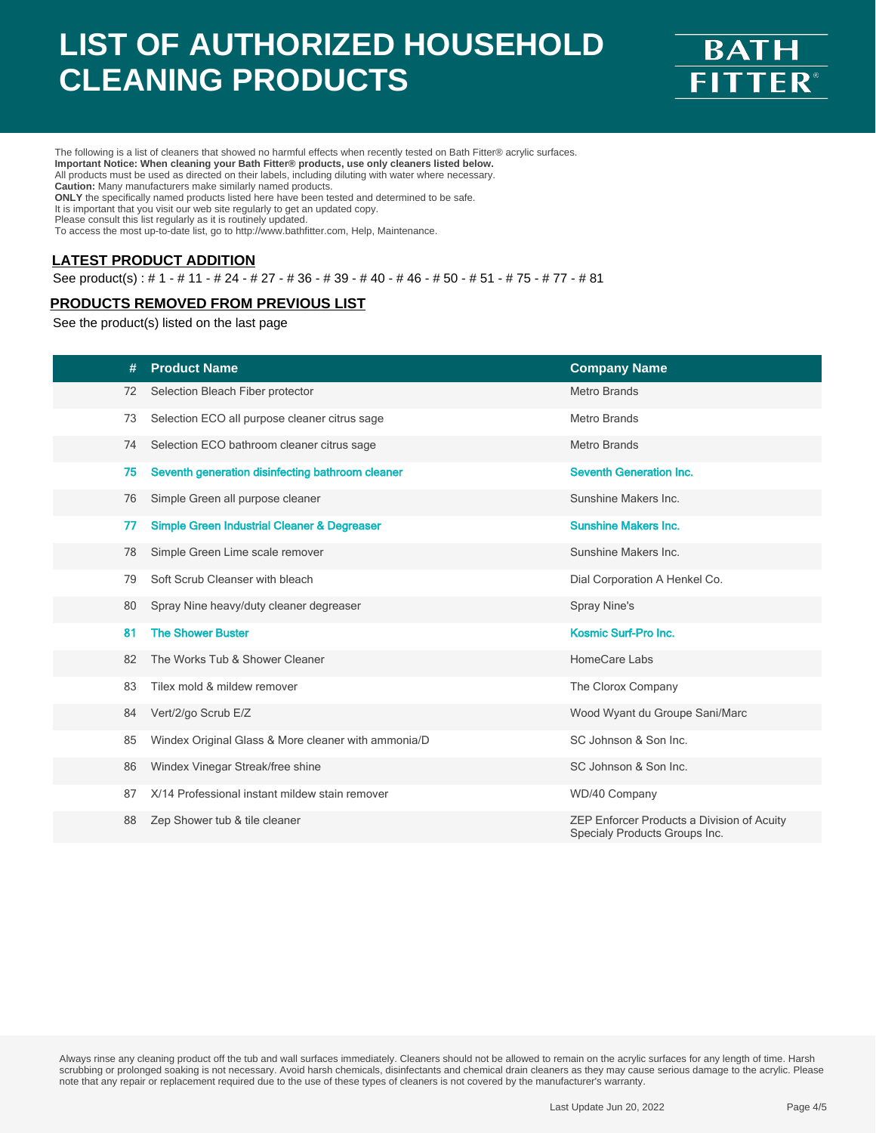

The following is a list of cleaners that showed no harmful effects when recently tested on Bath Fitter® acrylic surfaces. **Important Notice: When cleaning your Bath Fitter® products, use only cleaners listed below.** All products must be used as directed on their labels, including diluting with water where necessary. **Caution:** Many manufacturers make similarly named products. **ONLY** the specifically named products listed here have been tested and determined to be safe. It is important that you visit our web site regularly to get an updated copy. Please consult this list regularly as it is routinely updated.

To access the most up-to-date list, go to http://www.bathfitter.com, Help, Maintenance.

#### **LATEST PRODUCT ADDITION**

See product(s) : # 1 - # 11 - # 24 - # 27 - # 36 - # 39 - # 40 - # 46 - # 50 - # 51 - # 75 - # 77 - # 81

#### **PRODUCTS REMOVED FROM PREVIOUS LIST**

See the product(s) listed on the last page

| #  | <b>Product Name</b>                                    | <b>Company Name</b>                                                         |
|----|--------------------------------------------------------|-----------------------------------------------------------------------------|
| 72 | Selection Bleach Fiber protector                       | <b>Metro Brands</b>                                                         |
| 73 | Selection ECO all purpose cleaner citrus sage          | <b>Metro Brands</b>                                                         |
| 74 | Selection ECO bathroom cleaner citrus sage             | <b>Metro Brands</b>                                                         |
| 75 | Seventh generation disinfecting bathroom cleaner       | <b>Seventh Generation Inc.</b>                                              |
| 76 | Simple Green all purpose cleaner                       | Sunshine Makers Inc.                                                        |
| 77 | <b>Simple Green Industrial Cleaner &amp; Degreaser</b> | <b>Sunshine Makers Inc.</b>                                                 |
| 78 | Simple Green Lime scale remover                        | Sunshine Makers Inc.                                                        |
| 79 | Soft Scrub Cleanser with bleach                        | Dial Corporation A Henkel Co.                                               |
| 80 | Spray Nine heavy/duty cleaner degreaser                | Spray Nine's                                                                |
| 81 | <b>The Shower Buster</b>                               | Kosmic Surf-Pro Inc.                                                        |
| 82 | The Works Tub & Shower Cleaner                         | HomeCare Labs                                                               |
| 83 | Tilex mold & mildew remover                            | The Clorox Company                                                          |
| 84 | Vert/2/go Scrub E/Z                                    | Wood Wyant du Groupe Sani/Marc                                              |
| 85 | Windex Original Glass & More cleaner with ammonia/D    | SC Johnson & Son Inc.                                                       |
| 86 | Windex Vinegar Streak/free shine                       | SC Johnson & Son Inc.                                                       |
| 87 | X/14 Professional instant mildew stain remover         | WD/40 Company                                                               |
| 88 | Zep Shower tub & tile cleaner                          | ZEP Enforcer Products a Division of Acuity<br>Specialy Products Groups Inc. |